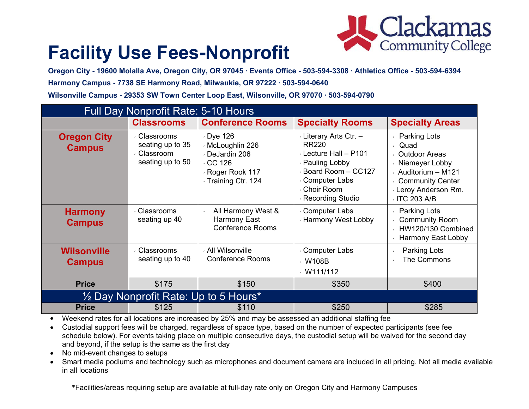

# **Facility Use Fees-Nonprofit**

**Oregon City - 19600 Molalla Ave, Oregon City, OR 97045 ∙ Events Office - 503-594-3308 ∙ Athletics Office - 503-594-6394 Harmony Campus - 7738 SE Harmony Road, Milwaukie, OR 97222 ∙ 503-594-0640 Wilsonville Campus - 29353 SW Town Center Loop East, Wilsonville, OR 97070 ∙ 503-594-0790**

| <b>Full Day Nonprofit Rate: 5-10 Hours</b> |                                                                 |                                                                                                                  |                                                                                                                                                                       |                                                                                                                                                                |  |  |
|--------------------------------------------|-----------------------------------------------------------------|------------------------------------------------------------------------------------------------------------------|-----------------------------------------------------------------------------------------------------------------------------------------------------------------------|----------------------------------------------------------------------------------------------------------------------------------------------------------------|--|--|
|                                            | <b>Classrooms</b>                                               | <b>Conference Rooms</b>                                                                                          | <b>Specialty Rooms</b>                                                                                                                                                | <b>Specialty Areas</b>                                                                                                                                         |  |  |
| <b>Oregon City</b><br><b>Campus</b>        | Classrooms<br>seating up to 35<br>Classroom<br>seating up to 50 | $\cdot$ Dye 126<br>⋅ McLoughlin 226<br>⋅ DeJardin 206<br>$\cdot$ CC 126<br>Roger Rook 117<br>√ Training Ctr. 124 | Literary Arts Ctr. -<br><b>RR220</b><br>$\cdot$ Lecture Hall - P101<br>⋅ Pauling Lobby<br>Board Room - CC127<br>⋅ Computer Labs<br>√ Choir Room<br>⋅ Recording Studio | Parking Lots<br>Quad<br><b>Outdoor Areas</b><br>√ Niemeyer Lobby<br>Auditorium - M121<br><b>Community Center</b><br><b>Leroy Anderson Rm.</b><br>/ ITC 203 A/B |  |  |
| <b>Harmony</b><br><b>Campus</b>            | Classrooms<br>seating up 40                                     | All Harmony West &<br>$\epsilon$<br>Harmony East<br><b>Conference Rooms</b>                                      | ⋅ Computer Labs<br>⋅ Harmony West Lobby                                                                                                                               | Parking Lots<br><b>Community Room</b><br>HW120/130 Combined<br>Harmony East Lobby                                                                              |  |  |
| <b>Wilsonville</b><br><b>Campus</b>        | <b>Classrooms</b><br>seating up to 40                           | √ All Wilsonville<br><b>Conference Rooms</b>                                                                     | ⋅ Computer Labs<br>$\cdot$ W108B<br>W111/112                                                                                                                          | Parking Lots<br>The Commons                                                                                                                                    |  |  |
| <b>Price</b>                               | \$175                                                           | \$150                                                                                                            | \$350                                                                                                                                                                 | \$400                                                                                                                                                          |  |  |
| 1/2 Day Nonprofit Rate: Up to 5 Hours*     |                                                                 |                                                                                                                  |                                                                                                                                                                       |                                                                                                                                                                |  |  |
| <b>Price</b>                               | \$125                                                           | \$110                                                                                                            | \$250                                                                                                                                                                 | \$285                                                                                                                                                          |  |  |

• Weekend rates for all locations are increased by 25% and may be assessed an additional staffing fee

 Custodial support fees will be charged, regardless of space type, based on the number of expected participants (see fee schedule below). For events taking place on multiple consecutive days, the custodial setup will be waived for the second day and beyond, if the setup is the same as the first day

- No mid-event changes to setups
- Smart media podiums and technology such as microphones and document camera are included in all pricing. Not all media available in all locations

\*Facilities/areas requiring setup are available at full-day rate only on Oregon City and Harmony Campuses